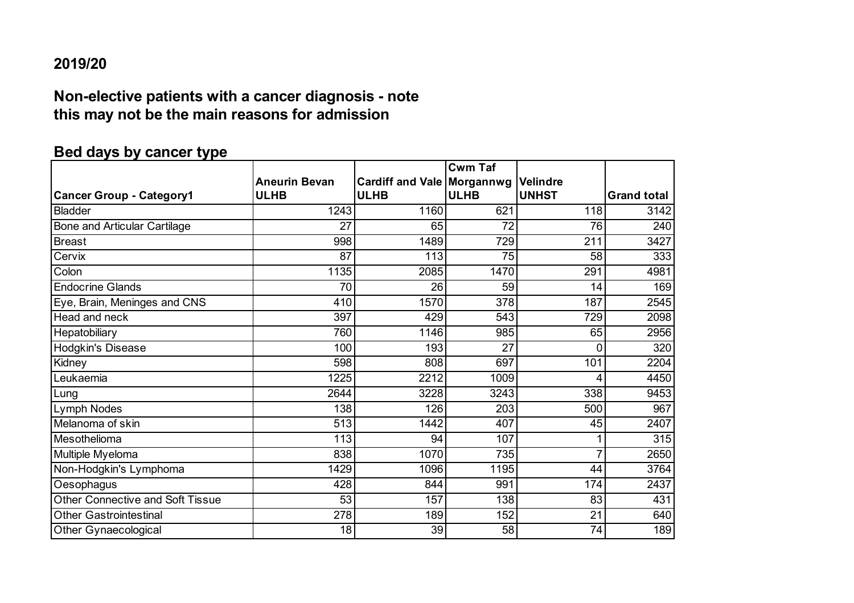#### **2019/20**

## **Non-elective patients with a cancer diagnosis - note this may not be the main reasons for admission**

# **Bed days by cancer type**

|                                     |                      |                                     | <b>Cwm Taf</b>  |                               |                    |
|-------------------------------------|----------------------|-------------------------------------|-----------------|-------------------------------|--------------------|
|                                     | <b>Aneurin Bevan</b> | <b>Cardiff and Vale   Morgannwg</b> |                 | <i><u><b>Nelindre</b></u></i> |                    |
| <b>Cancer Group - Category1</b>     | <b>ULHB</b>          | <b>ULHB</b>                         | <b>ULHB</b>     | <b>UNHST</b>                  | <b>Grand total</b> |
| <b>Bladder</b>                      | 1243                 | 1160                                | 621             | 118                           | 3142               |
| <b>Bone and Articular Cartilage</b> | 27                   | 65                                  | 72              | 76                            | 240                |
| <b>Breast</b>                       | 998                  | 1489                                | 729             | 211                           | 3427               |
| Cervix                              | $\overline{87}$      | 113                                 | $\overline{75}$ | 58                            | 333                |
| Colon                               | 1135                 | 2085                                | 1470            | 291                           | 4981               |
| <b>Endocrine Glands</b>             | 70                   | 26                                  | 59              | 14                            | 169                |
| Eye, Brain, Meninges and CNS        | 410                  | 1570                                | 378             | 187                           | 2545               |
| Head and neck                       | 397                  | 429                                 | 543             | 729                           | 2098               |
| Hepatobiliary                       | 760                  | 1146                                | 985             | 65                            | 2956               |
| <b>Hodgkin's Disease</b>            | 100                  | 193                                 | 27              | $\Omega$                      | 320                |
| Kidney                              | 598                  | 808                                 | 697             | 101                           | 2204               |
| Leukaemia                           | 1225                 | 2212                                | 1009            | Δ                             | 4450               |
| Lung                                | 2644                 | 3228                                | 3243            | 338                           | 9453               |
| Lymph Nodes                         | 138                  | 126                                 | 203             | 500                           | 967                |
| Melanoma of skin                    | 513                  | 1442                                | 407             | 45                            | 2407               |
| Mesothelioma                        | 113                  | 94                                  | 107             |                               | 315                |
| Multiple Myeloma                    | 838                  | 1070                                | 735             | 7                             | 2650               |
| Non-Hodgkin's Lymphoma              | 1429                 | 1096                                | 1195            | 44                            | 3764               |
| Oesophagus                          | 428                  | 844                                 | 991             | 174                           | 2437               |
| Other Connective and Soft Tissue    | 53                   | 157                                 | 138             | 83                            | 431                |
| <b>Other Gastrointestinal</b>       | 278                  | 189                                 | 152             | 21                            | 640                |
| Other Gynaecological                | 18                   | 39                                  | 58              | 74                            | 189                |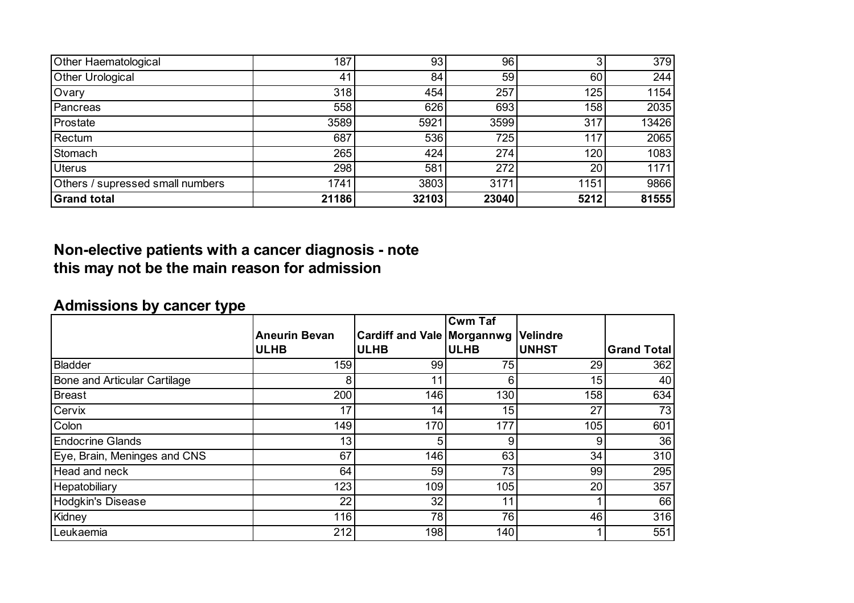| Other Haematological             | 187   | 93    | 96    |      | 379   |
|----------------------------------|-------|-------|-------|------|-------|
| <b>Other Urological</b>          | 41    | 84    | 59    | 60   | 244   |
| Ovary                            | 318   | 454   | 257   | 125  | 1154  |
| Pancreas                         | 558   | 626   | 693   | 158  | 2035  |
| Prostate                         | 3589  | 5921  | 3599  | 317  | 13426 |
| Rectum                           | 687   | 536   | 725   | 117  | 2065  |
| Stomach                          | 265   | 424   | 274   | 120  | 1083  |
| <b>Uterus</b>                    | 298   | 581   | 272   | 20   | 1171  |
| Others / supressed small numbers | 1741  | 3803  | 3171  | 1151 | 9866  |
| <b>Grand total</b>               | 21186 | 32103 | 23040 | 5212 | 81555 |

## **Non-elective patients with a cancer diagnosis - note this may not be the main reason for admission**

# **Admissions by cancer type**

|                                     |                      |                                   | <b>Cwm Taf</b> |                 |                    |
|-------------------------------------|----------------------|-----------------------------------|----------------|-----------------|--------------------|
|                                     | <b>Aneurin Bevan</b> | <b>Cardiff and Vale Morgannwg</b> |                | <b>Velindre</b> |                    |
|                                     | <b>ULHB</b>          | <b>ULHB</b>                       | <b>ULHB</b>    | <b>UNHST</b>    | <b>Grand Total</b> |
| <b>Bladder</b>                      | 159                  | 99                                | 75             | 29              | 362                |
| <b>Bone and Articular Cartilage</b> | 8                    | 11                                | 6              | 15              | 40                 |
| <b>Breast</b>                       | 200                  | 146                               | 130            | 158             | 634                |
| Cervix                              | 17                   | 14                                | 15             | 27              | 73                 |
| Colon                               | 149                  | 170                               | 177            | 105             | 601                |
| <b>Endocrine Glands</b>             | 13                   | 5                                 | 9              | 9               | 36                 |
| Eye, Brain, Meninges and CNS        | 67                   | 146                               | 63             | 34              | 310                |
| Head and neck                       | 64                   | 59                                | 73             | 99              | 295                |
| Hepatobiliary                       | 123                  | 109                               | 105            | 20              | 357                |
| <b>Hodgkin's Disease</b>            | 22                   | 32 <sub>1</sub>                   | 11             |                 | 66                 |
| Kidney                              | 116                  | 78                                | 76             | 46              | 316                |
| Leukaemia                           | 212                  | 198                               | 140            |                 | 551                |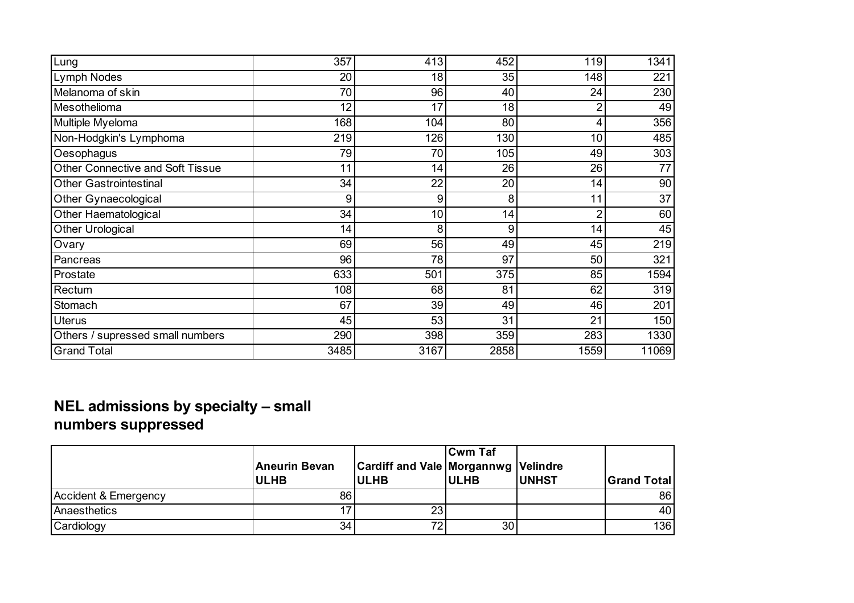| Lung                                    | 357  | 413  | 452  | 119            | 1341  |
|-----------------------------------------|------|------|------|----------------|-------|
| Lymph Nodes                             | 20   | 18   | 35   | 148            | 221   |
| Melanoma of skin                        | 70   | 96   | 40   | 24             | 230   |
| Mesothelioma                            | 12   | 17   | 18   | $\overline{2}$ | 49    |
| Multiple Myeloma                        | 168  | 104  | 80   | 4              | 356   |
| Non-Hodgkin's Lymphoma                  | 219  | 126  | 130  | 10             | 485   |
| Oesophagus                              | 79   | 70   | 105  | 49             | 303   |
| <b>Other Connective and Soft Tissue</b> | 11   | 14   | 26   | 26             | 77    |
| <b>Other Gastrointestinal</b>           | 34   | 22   | 20   | 14             | 90    |
| Other Gynaecological                    | 9    | 9    | 8    | 11             | 37    |
| Other Haematological                    | 34   | 10   | 14   | $\overline{2}$ | 60    |
| Other Urological                        | 14   | 8    | 9    | 14             | 45    |
| Ovary                                   | 69   | 56   | 49   | 45             | 219   |
| Pancreas                                | 96   | 78   | 97   | 50             | 321   |
| Prostate                                | 633  | 501  | 375  | 85             | 1594  |
| Rectum                                  | 108  | 68   | 81   | 62             | 319   |
| Stomach                                 | 67   | 39   | 49   | 46             | 201   |
| <b>Uterus</b>                           | 45   | 53   | 31   | 21             | 150   |
| Others / supressed small numbers        | 290  | 398  | 359  | 283            | 1330  |
| <b>Grand Total</b>                      | 3485 | 3167 | 2858 | 1559           | 11069 |

#### **NEL admissions by specialty – small numbers suppressed**

|                      | Aneurin Bevan<br><b>ULHB</b> | <b>Cardiff and Vale Morgannwg Velindre</b><br><b>ULHB</b> | <b>Cwm Taf</b><br><b>IULHB</b> | <b>IUNHST</b> | <b>Grand Total</b> |
|----------------------|------------------------------|-----------------------------------------------------------|--------------------------------|---------------|--------------------|
| Accident & Emergency | 861                          |                                                           |                                |               | 86                 |
| Anaesthetics         |                              | 23                                                        |                                |               | 40                 |
| Cardiology           | 34 <sub>1</sub>              | 72.                                                       | 30 <sup>1</sup>                |               | 136                |